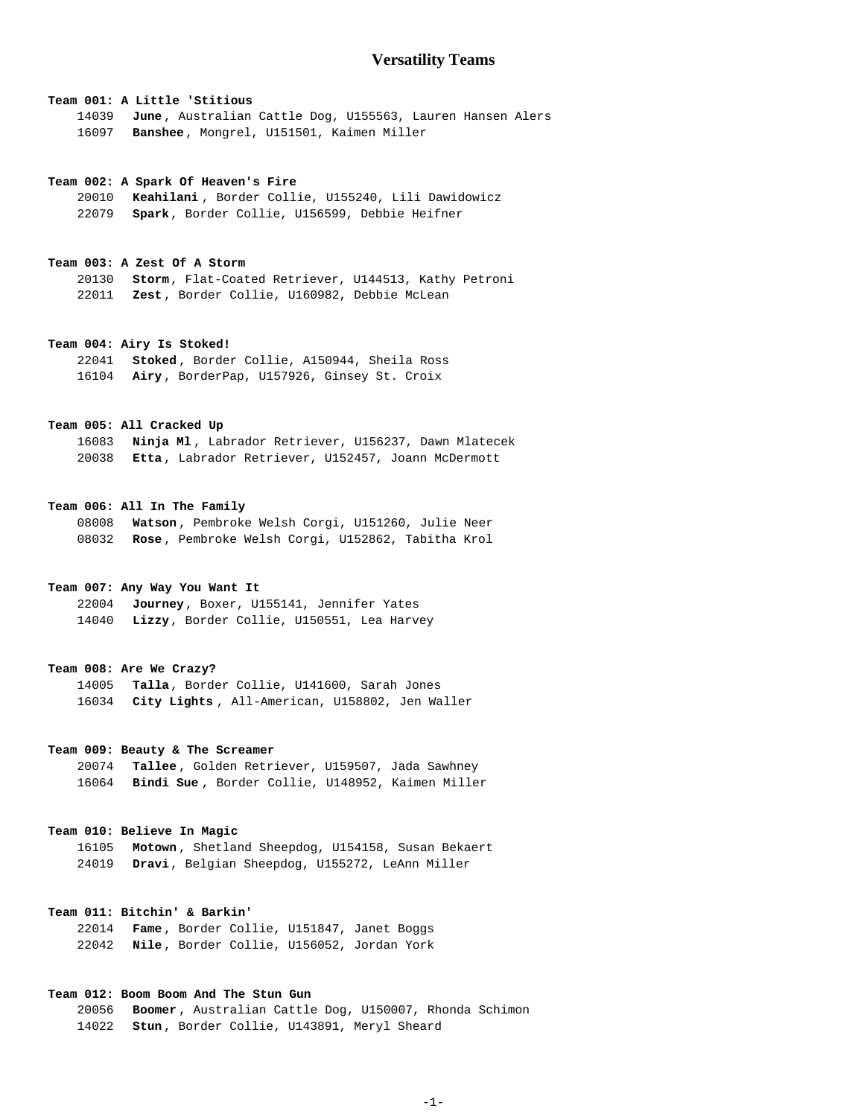# **Versatility Teams**

# **Team 001: A Little 'Stitious**

**June** , Australian Cattle Dog, U155563, Lauren Hansen Alers **Banshee**, Mongrel, U151501, Kaimen Miller

#### **Team 002: A Spark Of Heaven's Fire**

**Keahilani** , Border Collie, U155240, Lili Dawidowicz **Spark**, Border Collie, U156599, Debbie Heifner

## **Team 003: A Zest Of A Storm**

**Storm**, Flat-Coated Retriever, U144513, Kathy Petroni **Zest** , Border Collie, U160982, Debbie McLean

#### **Team 004: Airy Is Stoked!**

**Stoked** , Border Collie, A150944, Sheila Ross **Airy** , BorderPap, U157926, Ginsey St. Croix

## **Team 005: All Cracked Up**

**Ninja Ml** , Labrador Retriever, U156237, Dawn Mlatecek **Etta** , Labrador Retriever, U152457, Joann McDermott

#### **Team 006: All In The Family**

**Watson** , Pembroke Welsh Corgi, U151260, Julie Neer **Rose** , Pembroke Welsh Corgi, U152862, Tabitha Krol

## **Team 007: Any Way You Want It**

**Journey**, Boxer, U155141, Jennifer Yates **Lizzy**, Border Collie, U150551, Lea Harvey

#### **Team 008: Are We Crazy?**

**Talla**, Border Collie, U141600, Sarah Jones **City Lights** , All-American, U158802, Jen Waller

## **Team 009: Beauty & The Screamer**

**Tallee** , Golden Retriever, U159507, Jada Sawhney **Bindi Sue** , Border Collie, U148952, Kaimen Miller

#### **Team 010: Believe In Magic**

**Motown** , Shetland Sheepdog, U154158, Susan Bekaert **Dravi**, Belgian Sheepdog, U155272, LeAnn Miller

## **Team 011: Bitchin' & Barkin'**

**Fame** , Border Collie, U151847, Janet Boggs **Nile** , Border Collie, U156052, Jordan York

## **Team 012: Boom Boom And The Stun Gun**

**Boomer** , Australian Cattle Dog, U150007, Rhonda Schimon **Stun** , Border Collie, U143891, Meryl Sheard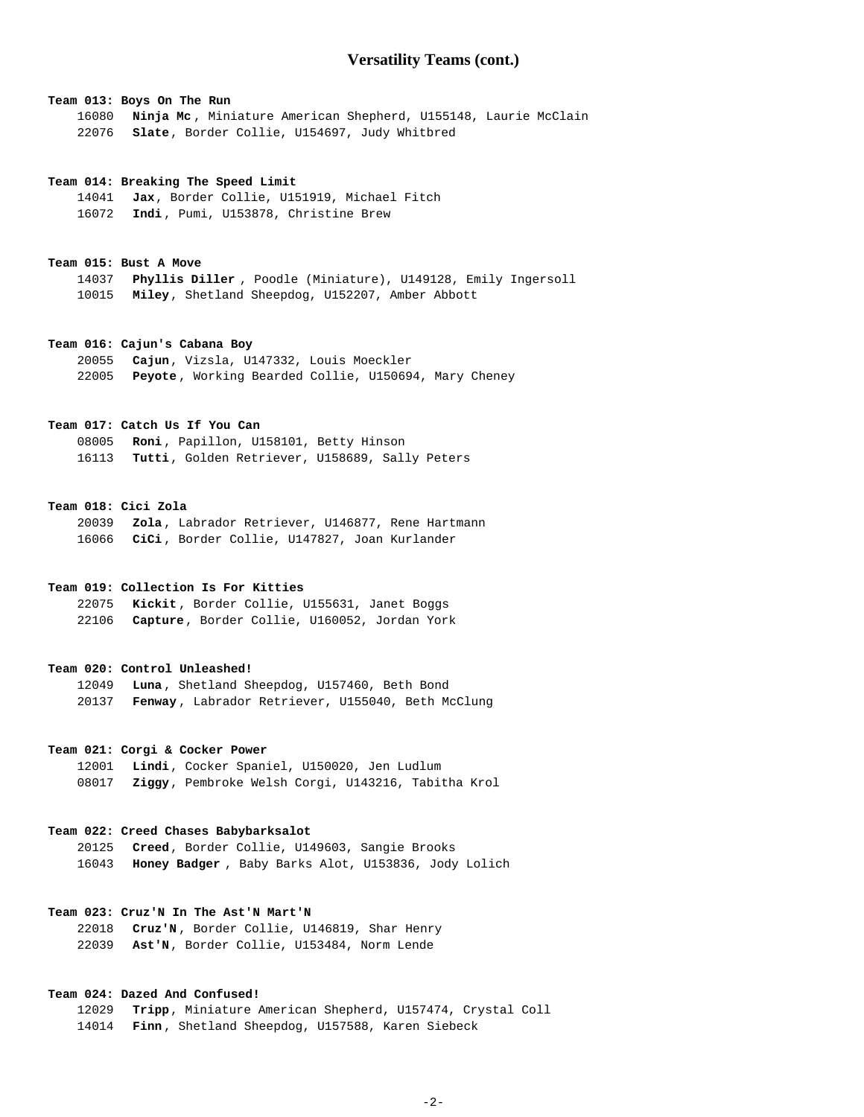## **Team 013: Boys On The Run**

**Ninja Mc** , Miniature American Shepherd, U155148, Laurie McClain **Slate**, Border Collie, U154697, Judy Whitbred

#### **Team 014: Breaking The Speed Limit**

**Jax**, Border Collie, U151919, Michael Fitch **Indi** , Pumi, U153878, Christine Brew

#### **Team 015: Bust A Move**

**Phyllis Diller** , Poodle (Miniature), U149128, Emily Ingersoll **Miley**, Shetland Sheepdog, U152207, Amber Abbott

## **Team 016: Cajun's Cabana Boy**

**Cajun**, Vizsla, U147332, Louis Moeckler **Peyote** , Working Bearded Collie, U150694, Mary Cheney

## **Team 017: Catch Us If You Can**

**Roni** , Papillon, U158101, Betty Hinson **Tutti**, Golden Retriever, U158689, Sally Peters

#### **Team 018: Cici Zola**

**Zola** , Labrador Retriever, U146877, Rene Hartmann **CiCi** , Border Collie, U147827, Joan Kurlander

## **Team 019: Collection Is For Kitties**

**Kickit** , Border Collie, U155631, Janet Boggs **Capture**, Border Collie, U160052, Jordan York

## **Team 020: Control Unleashed!**

**Luna** , Shetland Sheepdog, U157460, Beth Bond **Fenway** , Labrador Retriever, U155040, Beth McClung

## **Team 021: Corgi & Cocker Power**

**Lindi**, Cocker Spaniel, U150020, Jen Ludlum **Ziggy**, Pembroke Welsh Corgi, U143216, Tabitha Krol

#### **Team 022: Creed Chases Babybarksalot**

**Creed**, Border Collie, U149603, Sangie Brooks **Honey Badger** , Baby Barks Alot, U153836, Jody Lolich

## **Team 023: Cruz'N In The Ast'N Mart'N**

**Cruz'N** , Border Collie, U146819, Shar Henry **Ast'N**, Border Collie, U153484, Norm Lende

## **Team 024: Dazed And Confused!**

**Tripp**, Miniature American Shepherd, U157474, Crystal Coll **Finn** , Shetland Sheepdog, U157588, Karen Siebeck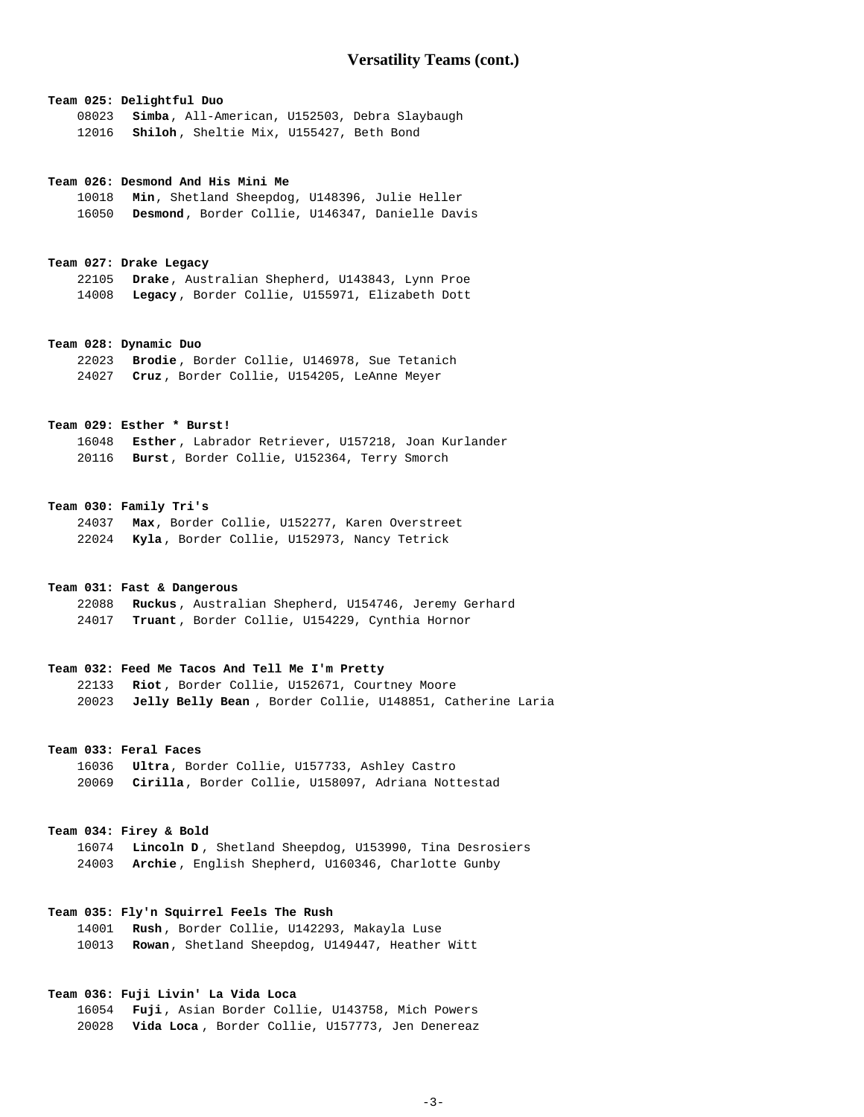# **Team 025: Delightful Duo Simba**, All-American, U152503, Debra Slaybaugh **Shiloh** , Sheltie Mix, U155427, Beth Bond

#### **Team 026: Desmond And His Mini Me**

**Min**, Shetland Sheepdog, U148396, Julie Heller **Desmond**, Border Collie, U146347, Danielle Davis

#### **Team 027: Drake Legacy**

**Drake**, Australian Shepherd, U143843, Lynn Proe **Legacy** , Border Collie, U155971, Elizabeth Dott

#### **Team 028: Dynamic Duo**

**Brodie** , Border Collie, U146978, Sue Tetanich **Cruz** , Border Collie, U154205, LeAnne Meyer

## **Team 029: Esther \* Burst!**

**Esther** , Labrador Retriever, U157218, Joan Kurlander **Burst**, Border Collie, U152364, Terry Smorch

## **Team 030: Family Tri's**

**Max**, Border Collie, U152277, Karen Overstreet **Kyla** , Border Collie, U152973, Nancy Tetrick

## **Team 031: Fast & Dangerous**

**Ruckus** , Australian Shepherd, U154746, Jeremy Gerhard **Truant** , Border Collie, U154229, Cynthia Hornor

#### **Team 032: Feed Me Tacos And Tell Me I'm Pretty**

**Riot** , Border Collie, U152671, Courtney Moore **Jelly Belly Bean** , Border Collie, U148851, Catherine Laria

## **Team 033: Feral Faces**

**Ultra**, Border Collie, U157733, Ashley Castro **Cirilla**, Border Collie, U158097, Adriana Nottestad

#### **Team 034: Firey & Bold**

**Lincoln D** , Shetland Sheepdog, U153990, Tina Desrosiers **Archie** , English Shepherd, U160346, Charlotte Gunby

# **Team 035: Fly'n Squirrel Feels The Rush**

**Rush** , Border Collie, U142293, Makayla Luse **Rowan**, Shetland Sheepdog, U149447, Heather Witt

## **Team 036: Fuji Livin' La Vida Loca**

**Fuji** , Asian Border Collie, U143758, Mich Powers **Vida Loca** , Border Collie, U157773, Jen Denereaz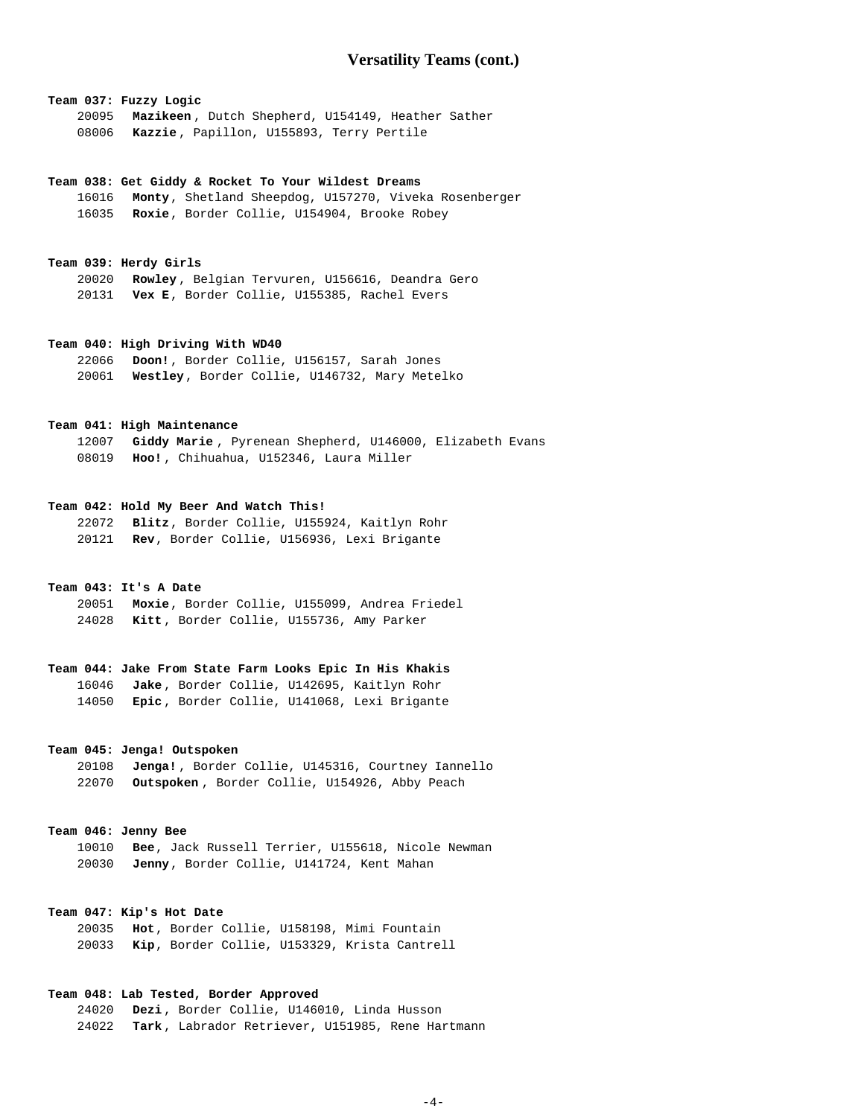# **Team 037: Fuzzy Logic**

**Mazikeen** , Dutch Shepherd, U154149, Heather Sather **Kazzie** , Papillon, U155893, Terry Pertile

#### **Team 038: Get Giddy & Rocket To Your Wildest Dreams**

**Monty**, Shetland Sheepdog, U157270, Viveka Rosenberger **Roxie**, Border Collie, U154904, Brooke Robey

## **Team 039: Herdy Girls**

**Rowley** , Belgian Tervuren, U156616, Deandra Gero **Vex E**, Border Collie, U155385, Rachel Evers

## **Team 040: High Driving With WD40**

**Doon!**, Border Collie, U156157, Sarah Jones **Westley**, Border Collie, U146732, Mary Metelko

## **Team 041: High Maintenance**

**Giddy Marie** , Pyrenean Shepherd, U146000, Elizabeth Evans **Hoo!** , Chihuahua, U152346, Laura Miller

#### **Team 042: Hold My Beer And Watch This!**

**Blitz**, Border Collie, U155924, Kaitlyn Rohr **Rev**, Border Collie, U156936, Lexi Brigante

## **Team 043: It's A Date**

**Moxie**, Border Collie, U155099, Andrea Friedel **Kitt** , Border Collie, U155736, Amy Parker

# **Team 044: Jake From State Farm Looks Epic In His Khakis Jake** , Border Collie, U142695, Kaitlyn Rohr **Epic** , Border Collie, U141068, Lexi Brigante

## **Team 045: Jenga! Outspoken**

**Jenga!** , Border Collie, U145316, Courtney Iannello **Outspoken** , Border Collie, U154926, Abby Peach

#### **Team 046: Jenny Bee**

**Bee**, Jack Russell Terrier, U155618, Nicole Newman **Jenny**, Border Collie, U141724, Kent Mahan

## **Team 047: Kip's Hot Date**

**Hot**, Border Collie, U158198, Mimi Fountain **Kip**, Border Collie, U153329, Krista Cantrell

## **Team 048: Lab Tested, Border Approved**

**Dezi** , Border Collie, U146010, Linda Husson **Tark** , Labrador Retriever, U151985, Rene Hartmann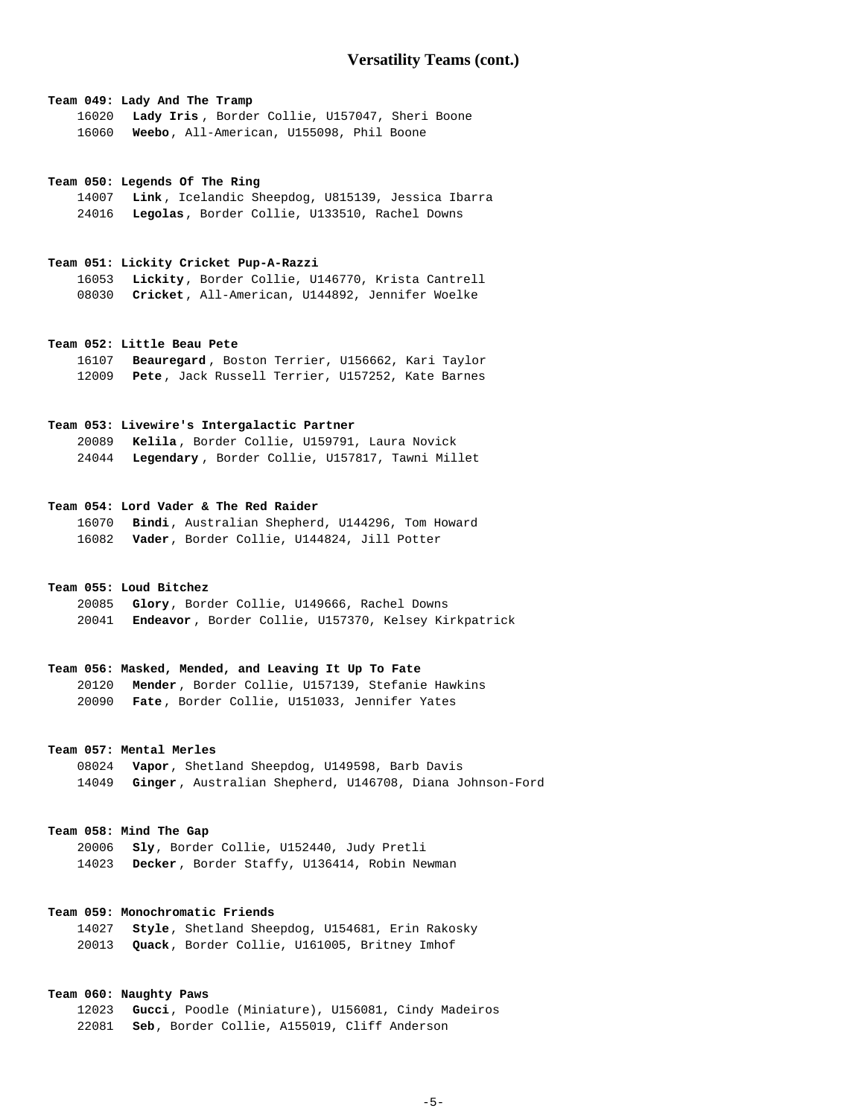## **Team 049: Lady And The Tramp**

**Lady Iris** , Border Collie, U157047, Sheri Boone **Weebo**, All-American, U155098, Phil Boone

#### **Team 050: Legends Of The Ring**

**Link** , Icelandic Sheepdog, U815139, Jessica Ibarra **Legolas**, Border Collie, U133510, Rachel Downs

## **Team 051: Lickity Cricket Pup-A-Razzi**

**Lickity**, Border Collie, U146770, Krista Cantrell **Cricket**, All-American, U144892, Jennifer Woelke

#### **Team 052: Little Beau Pete**

**Beauregard** , Boston Terrier, U156662, Kari Taylor **Pete** , Jack Russell Terrier, U157252, Kate Barnes

## **Team 053: Livewire's Intergalactic Partner**

**Kelila** , Border Collie, U159791, Laura Novick **Legendary** , Border Collie, U157817, Tawni Millet

#### **Team 054: Lord Vader & The Red Raider**

**Bindi**, Australian Shepherd, U144296, Tom Howard **Vader**, Border Collie, U144824, Jill Potter

## **Team 055: Loud Bitchez**

**Glory**, Border Collie, U149666, Rachel Downs **Endeavor** , Border Collie, U157370, Kelsey Kirkpatrick

#### **Team 056: Masked, Mended, and Leaving It Up To Fate**

**Mender** , Border Collie, U157139, Stefanie Hawkins **Fate** , Border Collie, U151033, Jennifer Yates

# **Team 057: Mental Merles**

**Vapor**, Shetland Sheepdog, U149598, Barb Davis **Ginger** , Australian Shepherd, U146708, Diana Johnson-Ford

#### **Team 058: Mind The Gap**

**Sly**, Border Collie, U152440, Judy Pretli **Decker** , Border Staffy, U136414, Robin Newman

## **Team 059: Monochromatic Friends**

**Style**, Shetland Sheepdog, U154681, Erin Rakosky **Quack**, Border Collie, U161005, Britney Imhof

## **Team 060: Naughty Paws**

**Gucci**, Poodle (Miniature), U156081, Cindy Madeiros **Seb**, Border Collie, A155019, Cliff Anderson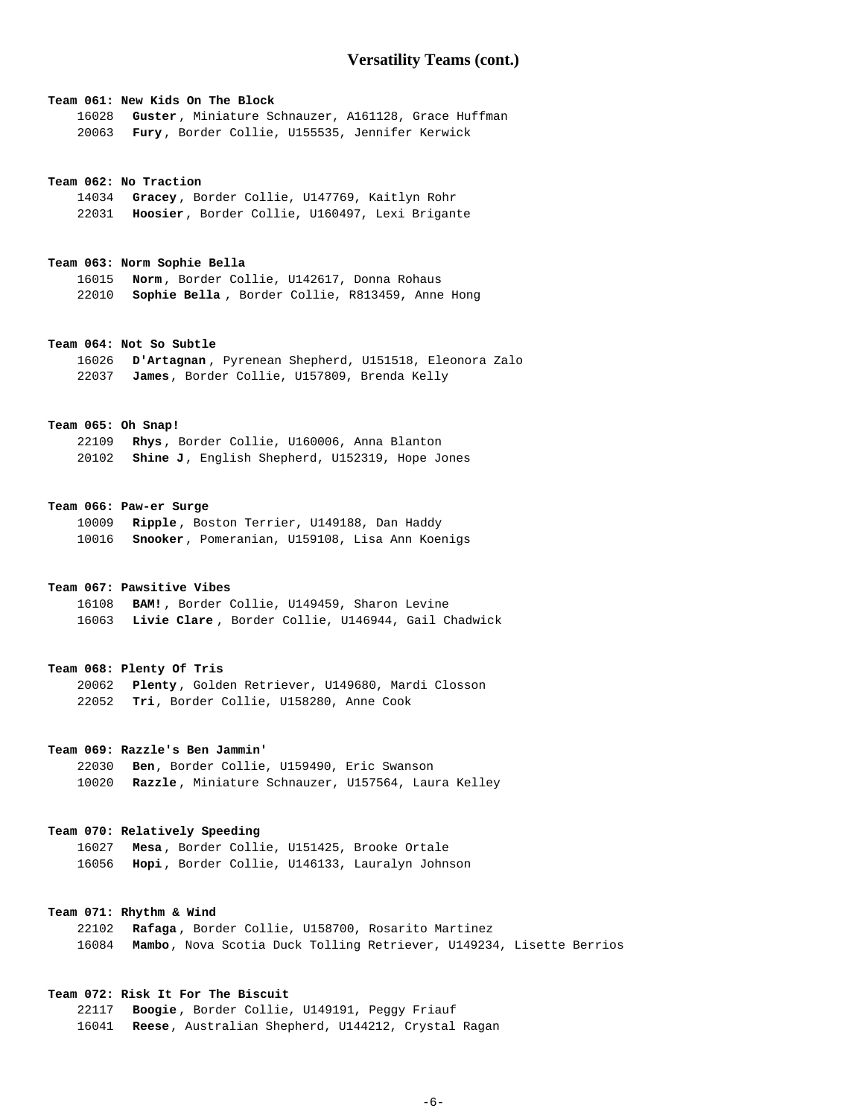#### **Team 061: New Kids On The Block**

**Guster** , Miniature Schnauzer, A161128, Grace Huffman **Fury** , Border Collie, U155535, Jennifer Kerwick

#### **Team 062: No Traction**

**Gracey** , Border Collie, U147769, Kaitlyn Rohr **Hoosier**, Border Collie, U160497, Lexi Brigante

#### **Team 063: Norm Sophie Bella**

**Norm** , Border Collie, U142617, Donna Rohaus **Sophie Bella** , Border Collie, R813459, Anne Hong

## **Team 064: Not So Subtle**

**D'Artagnan** , Pyrenean Shepherd, U151518, Eleonora Zalo **James**, Border Collie, U157809, Brenda Kelly

## **Team 065: Oh Snap!**

**Rhys** , Border Collie, U160006, Anna Blanton **Shine J**, English Shepherd, U152319, Hope Jones

#### **Team 066: Paw-er Surge**

**Ripple** , Boston Terrier, U149188, Dan Haddy **Snooker**, Pomeranian, U159108, Lisa Ann Koenigs

## **Team 067: Pawsitive Vibes**

**BAM!** , Border Collie, U149459, Sharon Levine **Livie Clare** , Border Collie, U146944, Gail Chadwick

#### **Team 068: Plenty Of Tris**

**Plenty** , Golden Retriever, U149680, Mardi Closson **Tri**, Border Collie, U158280, Anne Cook

## **Team 069: Razzle's Ben Jammin'**

**Ben**, Border Collie, U159490, Eric Swanson **Razzle** , Miniature Schnauzer, U157564, Laura Kelley

#### **Team 070: Relatively Speeding**

**Mesa** , Border Collie, U151425, Brooke Ortale **Hopi** , Border Collie, U146133, Lauralyn Johnson

## **Team 071: Rhythm & Wind**

**Rafaga** , Border Collie, U158700, Rosarito Martinez **Mambo**, Nova Scotia Duck Tolling Retriever, U149234, Lisette Berrios

## **Team 072: Risk It For The Biscuit**

**Boogie** , Border Collie, U149191, Peggy Friauf **Reese**, Australian Shepherd, U144212, Crystal Ragan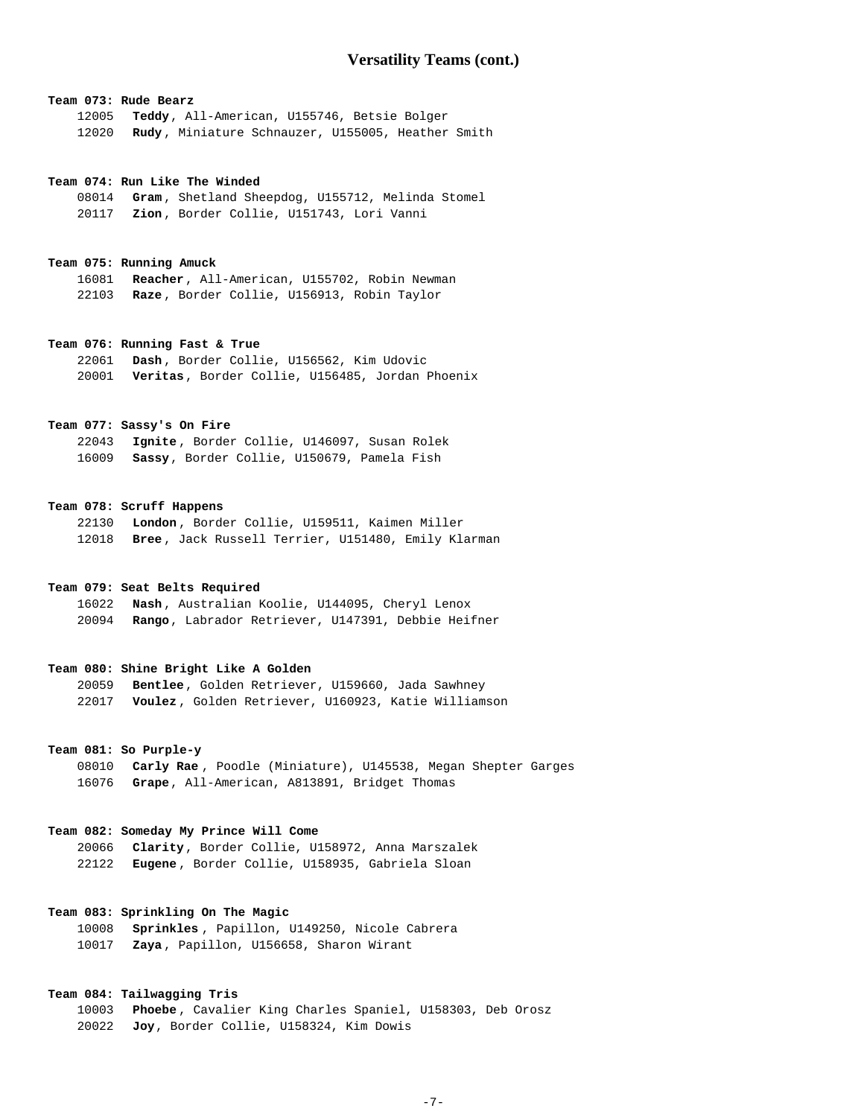## **Team 073: Rude Bearz**

**Teddy**, All-American, U155746, Betsie Bolger **Rudy** , Miniature Schnauzer, U155005, Heather Smith

#### **Team 074: Run Like The Winded**

**Gram** , Shetland Sheepdog, U155712, Melinda Stomel **Zion** , Border Collie, U151743, Lori Vanni

#### **Team 075: Running Amuck**

**Reacher**, All-American, U155702, Robin Newman **Raze** , Border Collie, U156913, Robin Taylor

#### **Team 076: Running Fast & True**

**Dash** , Border Collie, U156562, Kim Udovic **Veritas**, Border Collie, U156485, Jordan Phoenix

## **Team 077: Sassy's On Fire**

**Ignite** , Border Collie, U146097, Susan Rolek **Sassy**, Border Collie, U150679, Pamela Fish

## **Team 078: Scruff Happens**

**London** , Border Collie, U159511, Kaimen Miller **Bree** , Jack Russell Terrier, U151480, Emily Klarman

## **Team 079: Seat Belts Required**

**Nash** , Australian Koolie, U144095, Cheryl Lenox **Rango**, Labrador Retriever, U147391, Debbie Heifner

#### **Team 080: Shine Bright Like A Golden**

| 20059 | Bentlee, Golden Retriever, U159660, Jada Sawhney          |
|-------|-----------------------------------------------------------|
|       | 22017 Voulez, Golden Retriever, U160923, Katie Williamson |

#### **Team 081: So Purple-y**

**Carly Rae** , Poodle (Miniature), U145538, Megan Shepter Garges **Grape**, All-American, A813891, Bridget Thomas

#### **Team 082: Someday My Prince Will Come**

**Clarity**, Border Collie, U158972, Anna Marszalek **Eugene** , Border Collie, U158935, Gabriela Sloan

# **Team 083: Sprinkling On The Magic**

**Sprinkles** , Papillon, U149250, Nicole Cabrera **Zaya** , Papillon, U156658, Sharon Wirant

## **Team 084: Tailwagging Tris**

**Phoebe** , Cavalier King Charles Spaniel, U158303, Deb Orosz **Joy**, Border Collie, U158324, Kim Dowis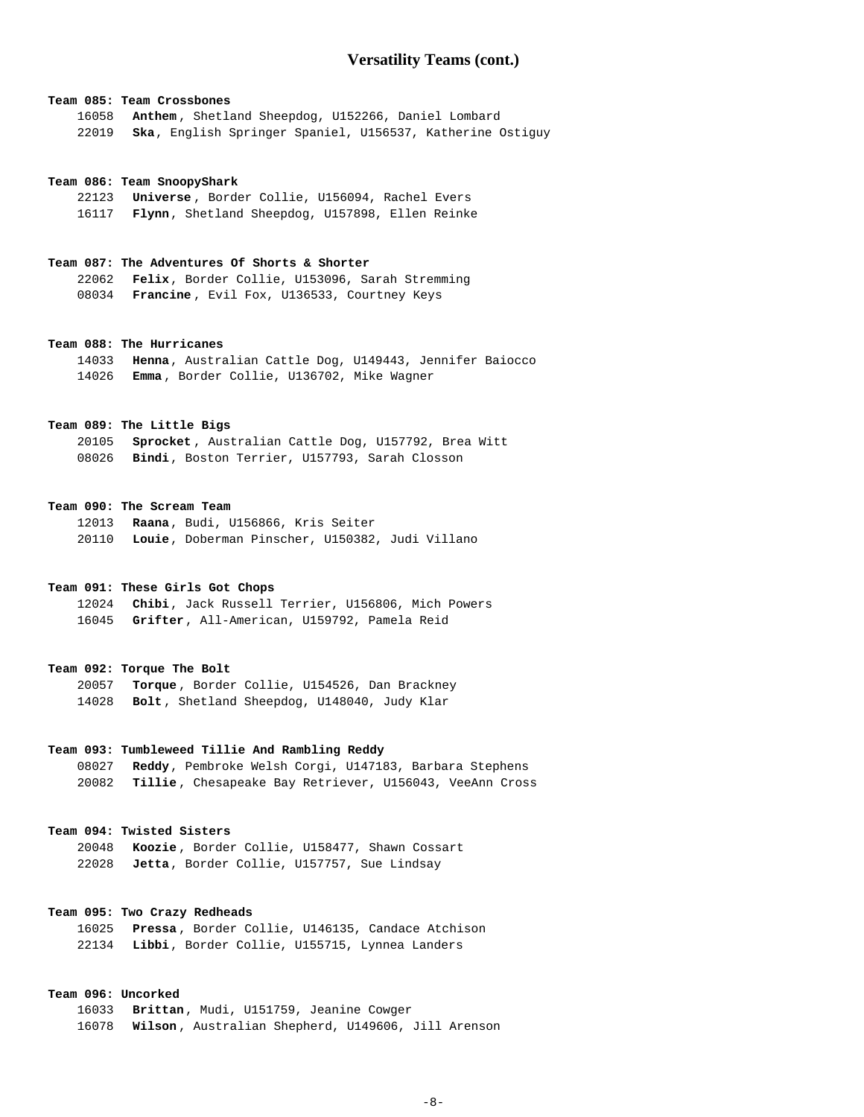## **Team 085: Team Crossbones**

**Anthem** , Shetland Sheepdog, U152266, Daniel Lombard **Ska**, English Springer Spaniel, U156537, Katherine Ostiguy

#### **Team 086: Team SnoopyShark**

**Universe** , Border Collie, U156094, Rachel Evers **Flynn**, Shetland Sheepdog, U157898, Ellen Reinke

## **Team 087: The Adventures Of Shorts & Shorter**

**Felix**, Border Collie, U153096, Sarah Stremming **Francine** , Evil Fox, U136533, Courtney Keys

#### **Team 088: The Hurricanes**

**Henna**, Australian Cattle Dog, U149443, Jennifer Baiocco **Emma** , Border Collie, U136702, Mike Wagner

## **Team 089: The Little Bigs**

**Sprocket** , Australian Cattle Dog, U157792, Brea Witt **Bindi**, Boston Terrier, U157793, Sarah Closson

#### **Team 090: The Scream Team**

**Raana**, Budi, U156866, Kris Seiter **Louie**, Doberman Pinscher, U150382, Judi Villano

## **Team 091: These Girls Got Chops**

**Chibi**, Jack Russell Terrier, U156806, Mich Powers **Grifter**, All-American, U159792, Pamela Reid

#### **Team 092: Torque The Bolt**

**Torque** , Border Collie, U154526, Dan Brackney **Bolt** , Shetland Sheepdog, U148040, Judy Klar

## **Team 093: Tumbleweed Tillie And Rambling Reddy**

**Reddy**, Pembroke Welsh Corgi, U147183, Barbara Stephens **Tillie** , Chesapeake Bay Retriever, U156043, VeeAnn Cross

#### **Team 094: Twisted Sisters**

**Koozie** , Border Collie, U158477, Shawn Cossart **Jetta**, Border Collie, U157757, Sue Lindsay

# **Team 095: Two Crazy Redheads**

**Pressa** , Border Collie, U146135, Candace Atchison **Libbi**, Border Collie, U155715, Lynnea Landers

## **Team 096: Uncorked**

**Brittan**, Mudi, U151759, Jeanine Cowger **Wilson** , Australian Shepherd, U149606, Jill Arenson